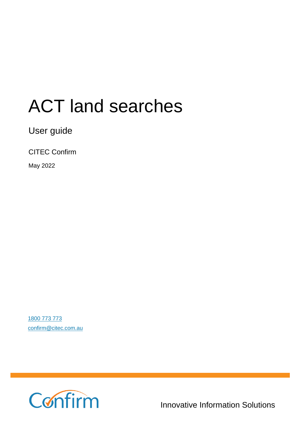# ACT land searches

User guide

CITEC Confirm

May 2022

[1800 773 773](tel:1800773773) [confirm@citec.com.au](mailto:confirm@citec.com.au)



Innovative Information Solutions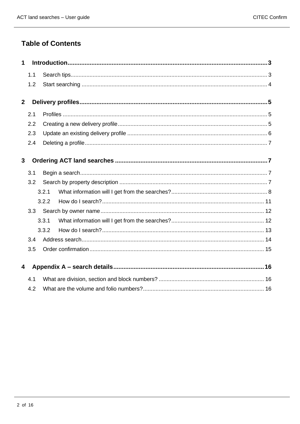### **Table of Contents**

| 1            |     |       |  |  |  |  |
|--------------|-----|-------|--|--|--|--|
|              | 1.1 |       |  |  |  |  |
|              | 1.2 |       |  |  |  |  |
| $\mathbf{2}$ |     |       |  |  |  |  |
|              | 2.1 |       |  |  |  |  |
|              | 2.2 |       |  |  |  |  |
|              | 2.3 |       |  |  |  |  |
|              | 2.4 |       |  |  |  |  |
| $\mathbf{3}$ |     |       |  |  |  |  |
|              | 3.1 |       |  |  |  |  |
|              | 3.2 |       |  |  |  |  |
|              |     | 3.2.1 |  |  |  |  |
|              |     | 3.2.2 |  |  |  |  |
|              | 3.3 |       |  |  |  |  |
|              |     | 3.3.1 |  |  |  |  |
|              |     | 3.3.2 |  |  |  |  |
|              | 3.4 |       |  |  |  |  |
|              | 3.5 |       |  |  |  |  |
| 4            |     |       |  |  |  |  |
|              | 4.1 |       |  |  |  |  |
|              | 4.2 |       |  |  |  |  |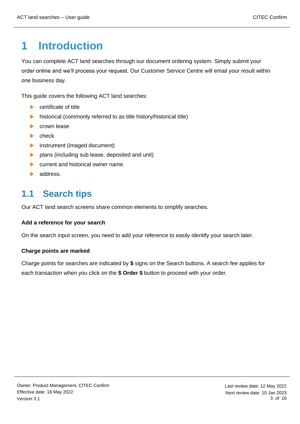# <span id="page-2-0"></span>**1 Introduction**

You can complete ACT land searches through our document ordering system. Simply submit your order online and we'll process your request. Our Customer Service Centre will email your result within one business day.

This guide covers the following ACT land searches:

- **Certificate of title**
- $\blacktriangleright$ historical (commonly referred to as title history/historical title)
- $\mathbf{E}$  . crown lease
- check  $\blacktriangleright$
- $\blacktriangleright$ instrument (imaged document)
- $\blacktriangleright$ plans (including sub lease, deposited and unit)
- $\mathbf{b}$  . current and historical owner name
- address.

# <span id="page-2-1"></span>**1.1 Search tips**

Our ACT land search screens share common elements to simplify searches.

#### **Add a reference for your search**

On the search input screen, you need to add your reference to easily identify your search later.

#### **Charge points are marked**

Charge points for searches are indicated by **\$** signs on the Search buttons. A search fee applies for each transaction when you click on the **\$ Order \$** button to proceed with your order.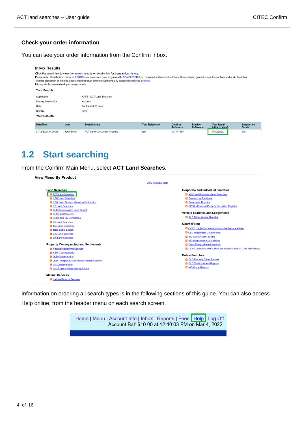#### **Check your order information**

You can see your order information from the Confirm inbox.

| <b>Inbox Results</b><br>If in any doubt, please check your usage reports.<br><b>Your Search</b> |             | Click the result link to view the search results or details link for transaction history.<br>Please note: Results listed below as ERROR may have since been progressed to COMPLETED if you corrected and resubmitted them. Resubmission generates new transactions visible via this inbox.<br>To avoid duplication of charges please check carefully before resubmitting any transactions marked ERROR. |                       |                                    |                                     |                                       |                                      |
|-------------------------------------------------------------------------------------------------|-------------|---------------------------------------------------------------------------------------------------------------------------------------------------------------------------------------------------------------------------------------------------------------------------------------------------------------------------------------------------------------------------------------------------------|-----------------------|------------------------------------|-------------------------------------|---------------------------------------|--------------------------------------|
| Application                                                                                     |             | <b>AATS - ACT Land Searches</b>                                                                                                                                                                                                                                                                                                                                                                         |                       |                                    |                                     |                                       |                                      |
| <b>Display Results For</b>                                                                      |             | Account                                                                                                                                                                                                                                                                                                                                                                                                 |                       |                                    |                                     |                                       |                                      |
| Date                                                                                            |             | For the last 30 days                                                                                                                                                                                                                                                                                                                                                                                    |                       |                                    |                                     |                                       |                                      |
| Sort By                                                                                         |             | Date                                                                                                                                                                                                                                                                                                                                                                                                    |                       |                                    |                                     |                                       |                                      |
| <b>Your Results</b>                                                                             |             |                                                                                                                                                                                                                                                                                                                                                                                                         |                       |                                    |                                     |                                       |                                      |
|                                                                                                 |             |                                                                                                                                                                                                                                                                                                                                                                                                         |                       |                                    |                                     |                                       |                                      |
| Date/Time                                                                                       | <b>User</b> | <b>Search Name</b>                                                                                                                                                                                                                                                                                                                                                                                      | <b>Your Reference</b> | <b>Confirm</b><br><b>Reference</b> | <b>Provider</b><br><b>Reference</b> | <b>Your Result</b><br>(click to View) | <b>Transaction</b><br><b>Details</b> |
| 21/12/2021 14:08:29                                                                             | John Smith  | <b>ACT Lands Document Ordering</b>                                                                                                                                                                                                                                                                                                                                                                      | test                  | 101717355                          |                                     | <b>ORDERED</b>                        | Info                                 |

# <span id="page-3-0"></span>**1.2 Start searching**

From the Confirm Main Menu, select **ACT Land Searches.**

| <b>View Menu By Product</b>                         |                                                                          |
|-----------------------------------------------------|--------------------------------------------------------------------------|
|                                                     | <b>View Menu by State</b>                                                |
| <b>Land Searches</b>                                | <b>Corporate and Individual Searches</b>                                 |
| <b>El</b> ACT Land Searches                         | 2 ASIC and Business Name Searches                                        |
| <b>El</b> NSW Land Searches                         | <b>El</b> Commercial Enquiries                                           |
| <b>El NSW Land Tax and Valuation Certificates</b>   | <b>El Bankruptcy Register</b>                                            |
| <b>El</b> NT Land Searches                          | PPSR - Personal Property Securities Register                             |
| <b>D</b> QLD Contaminated Land Search               |                                                                          |
| <b>D</b> QLD Land Searches                          | <b>Vehicle Searches and Lodgements</b>                                   |
| <b>D</b> QLD Land Tax Certificates                  | <b>El</b> QLD Motor Vehicle Register                                     |
| <b>El</b> SA Land Searches                          | <b>Court eFiling</b>                                                     |
| <b>El</b> TAS Land Searches                         |                                                                          |
| <b>El</b> Telco Cable Search                        | <b>D</b> QCAT - QLD Civil and Administrative Tribunal eFiling            |
| <b>El</b> VIC Land Searches                         | <b>El</b> QLD Magistrates Court eFiling                                  |
| <b>N</b> WA Land Searches                           | VIC County Court eFiling                                                 |
|                                                     | <b>El VIC Magistrates Court eFiling</b>                                  |
| <b>Property Conveyancing and Settlements</b>        | <b>El</b> Court Filing - Manual Services                                 |
| National Settlement Services                        | <b>El</b> QCAT - Neighbourhood Disputes Registry Search (Tree and Fence) |
| <b>El</b> NSW Conveyancing                          | <b>Police Searches</b>                                                   |
| <b>D</b> QLD Conveyancing                           | <b>D</b> QLD Property Crime Reports                                      |
| <b>D</b> QLD Transport & Main Roads Property Search | <b>El</b> QLD Traffic Incident Reports                                   |
| <b>El</b> VIC Conveyancing                          | <b>El</b> VIC Crime Reports                                              |
| <b>El VIC Property Sales History Report</b>         |                                                                          |
| <b>Manual Services</b>                              |                                                                          |
| <b>El</b> National Manual Services                  |                                                                          |

<span id="page-3-1"></span>Information on ordering all search types is in the following sections of this guide. You can also access Help online, from the header menu on each search screen.

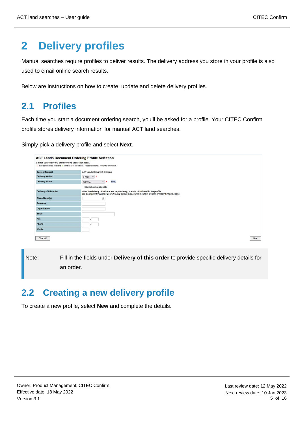# **2 Delivery profiles**

Manual searches require profiles to deliver results. The delivery address you store in your profile is also used to email online search results.

Below are instructions on how to create, update and delete delivery profiles.

# <span id="page-4-0"></span>**2.1 Profiles**

Each time you start a document ordering search, you'll be asked for a profile. Your CITEC Confirm profile stores delivery information for manual ACT land searches.

Simply pick a delivery profile and select **Next**.

| <b>ACT Lands Document Ordering Profile Selection</b>                                                                                                            |                                                                                                                                                                                           |
|-----------------------------------------------------------------------------------------------------------------------------------------------------------------|-------------------------------------------------------------------------------------------------------------------------------------------------------------------------------------------|
| Select your delivery preferences then click Next.<br>+ denotes mandatory fields and + denotes conditional fields. Please refer to help for further information. |                                                                                                                                                                                           |
| <b>Search Request</b>                                                                                                                                           | <b>ACT Lands Document Ordering</b>                                                                                                                                                        |
| <b>Delivery Method</b>                                                                                                                                          | $E$ -mail $\vee$<br>$\star$                                                                                                                                                               |
| <b>Delivery Profile</b>                                                                                                                                         | New j<br>Select<br>$\star$<br>$\check{~}$                                                                                                                                                 |
|                                                                                                                                                                 | Set to be default profile                                                                                                                                                                 |
| Delivery of this order                                                                                                                                          | Alter the delivery details for this request only, or enter details not in the profile.<br>(To permanently change your delivery details please use the New, Modify, or Copy buttons above) |
| <b>Given Name(s)</b>                                                                                                                                            | 回                                                                                                                                                                                         |
| <b>Surname</b>                                                                                                                                                  |                                                                                                                                                                                           |
| <b>Organisation</b>                                                                                                                                             |                                                                                                                                                                                           |
| Email                                                                                                                                                           |                                                                                                                                                                                           |
| Fax                                                                                                                                                             |                                                                                                                                                                                           |
| Phone                                                                                                                                                           |                                                                                                                                                                                           |
| <b>Mobile</b>                                                                                                                                                   |                                                                                                                                                                                           |
| Clear All                                                                                                                                                       | Next                                                                                                                                                                                      |

Note: Fill in the fields under **Delivery of this order** to provide specific delivery details for an order.

# <span id="page-4-1"></span>**2.2 Creating a new delivery profile**

To create a new profile, select **New** and complete the details.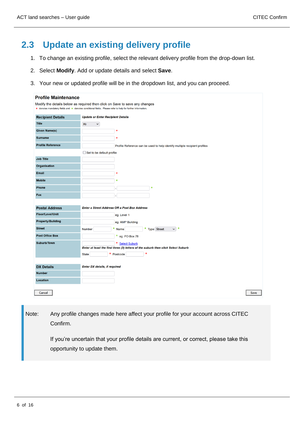# <span id="page-5-0"></span>**2.3 Update an existing delivery profile**

- 1. To change an existing profile, select the relevant delivery profile from the drop-down list.
- 2. Select **Modify**. Add or update details and select **Save**.
- 3. Your new or updated profile will be in the dropdown list, and you can proceed.

| <b>Profile Maintenance</b>                                                  |                                                                                                            |  |  |  |
|-----------------------------------------------------------------------------|------------------------------------------------------------------------------------------------------------|--|--|--|
| Modify the details below as required then click on Save to save any changes |                                                                                                            |  |  |  |
|                                                                             | * denotes mandatory fields and * denotes conditional fields. Please refer to help for further information. |  |  |  |
| <b>Recipient Details</b>                                                    | <b>Update or Enter Recipient Details</b>                                                                   |  |  |  |
| <b>Title</b>                                                                | Mr<br>$\checkmark$                                                                                         |  |  |  |
| <b>Given Name(s)</b>                                                        | ٠                                                                                                          |  |  |  |
| <b>Surname</b>                                                              | $\star$                                                                                                    |  |  |  |
| <b>Profile Reference</b>                                                    | Profile Reference can be used to help identify multiple recipient profiles                                 |  |  |  |
|                                                                             | $\Box$ Set to be default profile                                                                           |  |  |  |
| <b>Job Title</b>                                                            |                                                                                                            |  |  |  |
| <b>Organisation</b>                                                         |                                                                                                            |  |  |  |
| <b>Email</b>                                                                |                                                                                                            |  |  |  |
| <b>Mobile</b>                                                               | ÷                                                                                                          |  |  |  |
| <b>Phone</b>                                                                | $\star$                                                                                                    |  |  |  |
| Fax                                                                         |                                                                                                            |  |  |  |
|                                                                             |                                                                                                            |  |  |  |
| <b>Postal Address</b>                                                       | <b>Enter a Street Address OR a Post Box Address</b>                                                        |  |  |  |
| <b>Floor/Level/Unit</b>                                                     | eg. Level 1                                                                                                |  |  |  |
| <b>Property/Building</b>                                                    | eg. AMP Building                                                                                           |  |  |  |
| <b>Street</b>                                                               | * Type Street<br>$\star$<br>*<br>$\checkmark$<br>Number<br>Name                                            |  |  |  |
| <b>Post Office Box</b>                                                      | *<br>eg. PO Box 78                                                                                         |  |  |  |
| Suburb/Town                                                                 | <b>Select Suburb</b>                                                                                       |  |  |  |
|                                                                             | Enter at least the first three (3) letters of the suburb then click Select Suburb                          |  |  |  |
|                                                                             | * Postcode<br><b>State</b>                                                                                 |  |  |  |
|                                                                             |                                                                                                            |  |  |  |
| <b>DX Details</b>                                                           | <b>Enter DX details, if required</b>                                                                       |  |  |  |
| <b>Number</b>                                                               |                                                                                                            |  |  |  |
| <b>Location</b>                                                             |                                                                                                            |  |  |  |
|                                                                             |                                                                                                            |  |  |  |
| Cancel                                                                      | Save                                                                                                       |  |  |  |

Note: Any profile changes made here affect your profile for your account across CITEC Confirm.

> If you're uncertain that your profile details are current, or correct, please take this opportunity to update them.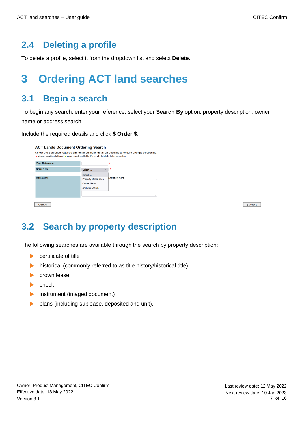# <span id="page-6-0"></span>**2.4 Deleting a profile**

To delete a profile, select it from the dropdown list and select **Delete**.

# <span id="page-6-1"></span>**3 Ordering ACT land searches**

# <span id="page-6-2"></span>**3.1 Begin a search**

To begin any search, enter your reference, select your **Search By** option: property description, owner name or address search.

Include the required details and click **\$ Order \$**.

| <b>ACT Lands Document Ordering Search</b>                                                                                                                                                                    |                             |                      |  |             |
|--------------------------------------------------------------------------------------------------------------------------------------------------------------------------------------------------------------|-----------------------------|----------------------|--|-------------|
| Select the Searches required and enter as much detail as possible to ensure prompt processing.<br>★ denotes mandatory fields and ★ denotes conditional fields. Please refer to help for further information. |                             |                      |  |             |
| <b>Your Reference</b>                                                                                                                                                                                        |                             |                      |  |             |
| <b>Search By</b>                                                                                                                                                                                             | Select<br>$\checkmark$      |                      |  |             |
|                                                                                                                                                                                                              | Select                      |                      |  |             |
| <b>Comments</b>                                                                                                                                                                                              | <b>Property Description</b> | <b>brmation</b> here |  |             |
|                                                                                                                                                                                                              | <b>Owner Name</b>           |                      |  |             |
|                                                                                                                                                                                                              | <b>Address Search</b>       |                      |  |             |
|                                                                                                                                                                                                              |                             |                      |  |             |
|                                                                                                                                                                                                              |                             |                      |  |             |
| Clear All                                                                                                                                                                                                    |                             |                      |  | \$ Order \$ |

# <span id="page-6-3"></span>**3.2 Search by property description**

The following searches are available through the search by property description:

- $\blacktriangleright$ certificate of title
- historical (commonly referred to as title history/historical title)  $\blacktriangleright$
- crown lease ь
- check  $\mathbf{L}$
- instrument (imaged document)  $\blacktriangleright$
- ь plans (including sublease, deposited and unit).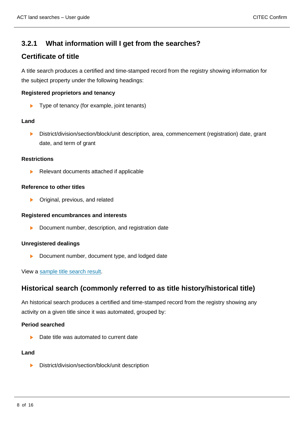### <span id="page-7-0"></span>**3.2.1 What information will I get from the searches?**

### **Certificate of title**

A title search produces a certified and time-stamped record from the registry showing information for the subject property under the following headings:

#### **Registered proprietors and tenancy**

 $\blacktriangleright$ Type of tenancy (for example, joint tenants)

#### **Land**

District/division/section/block/unit description, area, commencement (registration) date, grant ь date, and term of grant

#### **Restrictions**

Relevant documents attached if applicable

#### **Reference to other titles**

 $\blacktriangleright$ Original, previous, and related

#### **Registered encumbrances and interests**

ь Document number, description, and registration date

#### **Unregistered dealings**

Ы Document number, document type, and lodged date

#### View a [sample title search result.](https://www.confirm.citec.com.au/citecConfirm/act-title-result-sample.pdf)

### **Historical search (commonly referred to as title history/historical title)**

An historical search produces a certified and time-stamped record from the registry showing any activity on a given title since it was automated, grouped by:

#### **Period searched**

Date title was automated to current date

#### **Land**

 $\blacktriangleright$ District/division/section/block/unit description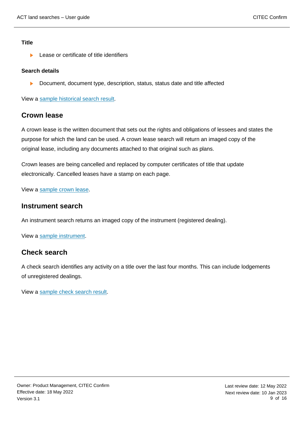#### **Title**

Lease or certificate of title identifiers ь

#### **Search details**

 $\blacktriangleright$ Document, document type, description, status, status date and title affected

View a [sample historical search result.](https://www.confirm.citec.com.au/citecConfirm/act-historical-search-result-sample.pdf)

### **Crown lease**

A crown lease is the written document that sets out the rights and obligations of lessees and states the purpose for which the land can be used. A crown lease search will return an imaged copy of the original lease, including any documents attached to that original such as plans.

Crown leases are being cancelled and replaced by computer certificates of title that update electronically. Cancelled leases have a stamp on each page.

View a [sample crown lease.](https://www.confirm.citec.com.au/citecConfirm/act-crown-lease-search-result-sample.pdf)

### **Instrument search**

An instrument search returns an imaged copy of the instrument (registered dealing).

View a [sample instrument.](https://www.confirm.citec.com.au/citecConfirm/act-instrument-search-result-sample.pdf)

### **Check search**

A check search identifies any activity on a title over the last four months. This can include lodgements of unregistered dealings.

View a [sample check search result.](https://www.confirm.citec.com.au/citecConfirm/act-check-search-result-sample.pdf)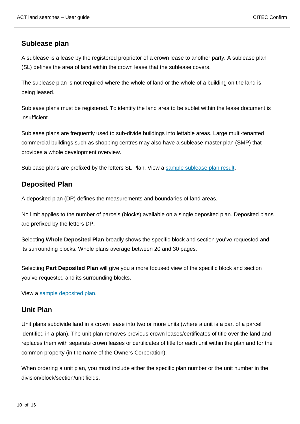### **Sublease plan**

A sublease is a lease by the registered proprietor of a crown lease to another party. A sublease plan (SL) defines the area of land within the crown lease that the sublease covers.

The sublease plan is not required where the whole of land or the whole of a building on the land is being leased.

Sublease plans must be registered. To identify the land area to be sublet within the lease document is insufficient.

Sublease plans are frequently used to sub-divide buildings into lettable areas. Large multi-tenanted commercial buildings such as shopping centres may also have a sublease master plan (SMP) that provides a whole development overview.

Sublease plans are prefixed by the letters SL Plan. View a [sample sublease plan result.](https://www.confirm.citec.com.au/citecConfirm/act-sublease-plan-result-sample.pdf)

### **Deposited Plan**

A deposited plan (DP) defines the measurements and boundaries of land areas.

No limit applies to the number of parcels (blocks) available on a single deposited plan. Deposited plans are prefixed by the letters DP.

Selecting **Whole Deposited Plan** broadly shows the specific block and section you've requested and its surrounding blocks. Whole plans average between 20 and 30 pages.

Selecting **Part Deposited Plan** will give you a more focused view of the specific block and section you've requested and its surrounding blocks.

View a [sample deposited plan.](https://www.confirm.citec.com.au/citecConfirm/act-deposited-plan-result-sample.pdf)

### **Unit Plan**

Unit plans subdivide land in a crown lease into two or more units (where a unit is a part of a parcel identified in a plan). The unit plan removes previous crown leases/certificates of title over the land and replaces them with separate crown leases or certificates of title for each unit within the plan and for the common property (in the name of the Owners Corporation).

When ordering a unit plan, you must include either the specific plan number or the unit number in the division/block/section/unit fields.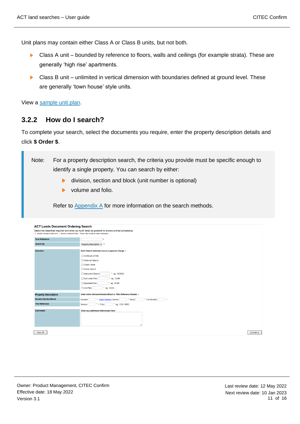Unit plans may contain either Class A or Class B units, but not both.

- $\blacktriangleright$  . Class A unit – bounded by reference to floors, walls and ceilings (for example strata). These are generally 'high rise' apartments.
- $\blacktriangleright$ Class B unit – unlimited in vertical dimension with boundaries defined at ground level. These are generally 'town house' style units.

View a [sample unit plan.](https://www.confirm.citec.com.au/citecConfirm/act-whole-unit-plan-result-sample.pdf)

### <span id="page-10-1"></span>**3.2.2 How do I search?**

To complete your search, select the documents you require, enter the property description details and click **\$ Order \$**.

Note: For a property description search, the criteria you provide must be specific enough to identify a single property. You can search by either:

- $\blacktriangleright$ division, section and block (unit number is optional)
- volume and folio.

Refer to  $\Delta$ ppendix  $\Delta$  for more information on the search methods.

<span id="page-10-0"></span>

| <b>ACT Lands Document Ordering Search</b>                                                                                                                                                                    |                                                                                    |  |
|--------------------------------------------------------------------------------------------------------------------------------------------------------------------------------------------------------------|------------------------------------------------------------------------------------|--|
| Select the Searches required and enter as much detail as possible to ensure prompt processing.<br>* denotes mandatory fields and * denotes conditional fields. Please refer to help for further information. |                                                                                    |  |
|                                                                                                                                                                                                              |                                                                                    |  |
| <b>Your Reference</b>                                                                                                                                                                                        |                                                                                    |  |
| <b>Search By</b>                                                                                                                                                                                             | Property Description v                                                             |  |
| <b>Searches</b>                                                                                                                                                                                              | Each Search selected incurs a separate charge. *                                   |  |
|                                                                                                                                                                                                              | □ Certificate of Title                                                             |  |
|                                                                                                                                                                                                              | □ Historical Search                                                                |  |
|                                                                                                                                                                                                              | □ Crown Lease                                                                      |  |
|                                                                                                                                                                                                              | □ Check Search                                                                     |  |
|                                                                                                                                                                                                              | * eg. 1234567<br>□ Instrument Search                                               |  |
|                                                                                                                                                                                                              | * eg. 12345<br>Sub Lease Plan                                                      |  |
|                                                                                                                                                                                                              | * eg. 12345<br>□ Deposited Plan                                                    |  |
|                                                                                                                                                                                                              | * eg. 12345<br>□ Unit Plan                                                         |  |
| <b>Property Description</b>                                                                                                                                                                                  | Enter either Division/Section/Block or Title Reference Details *                   |  |
| <b>Division/Section/Block</b>                                                                                                                                                                                | <b>Select Division Section</b><br>* Block<br>* Unit Number<br>٠<br><b>Division</b> |  |
| <b>Title Reference</b>                                                                                                                                                                                       | $*$ / Folio<br>* eg. $1234/0012$<br>Volume                                         |  |
| <b>Comments</b>                                                                                                                                                                                              | Enter any additional information here                                              |  |
|                                                                                                                                                                                                              |                                                                                    |  |
| <b>Clear All</b>                                                                                                                                                                                             | \$ Order \$                                                                        |  |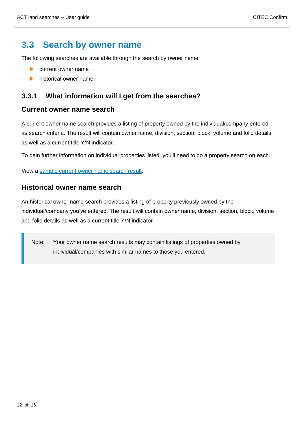### **3.3 Search by owner name**

The following searches are available through the search by owner name:

- current owner name **No.**
- historical owner name.

### <span id="page-11-0"></span>**3.3.1 What information will I get from the searches?**

### **Current owner name search**

A current owner name search provides a listing of property owned by the individual/company entered as search criteria. The result will contain owner name, division, section, block, volume and folio details as well as a current title Y/N indicator.

To gain further information on individual properties listed, you'll need to do a property search on each.

View a [sample current owner name search result.](https://www.confirm.citec.com.au/citecConfirm/act-current-owner-name-search-result-sample.pdf)

### **Historical owner name search**

An historical owner name search provides a listing of property previously owned by the individual/company you've entered. The result will contain owner name, division, section, block, volume and folio details as well as a current title Y/N indicator.

<span id="page-11-1"></span>Note: Your owner name search results may contain listings of properties owned by individual/companies with similar names to those you entered.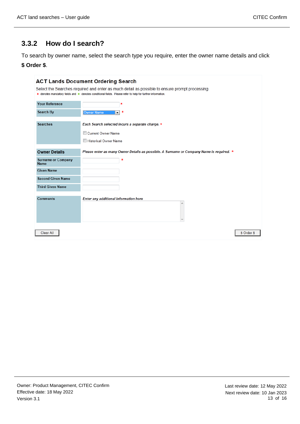### **3.3.2 How do I search?**

To search by owner name, select the search type you require, enter the owner name details and click

### **\$ Order \$**.

<span id="page-12-0"></span>

| <b>ACT Lands Document Ordering Search</b>                                                                                                                                                                    |                                                                                          |  |  |  |
|--------------------------------------------------------------------------------------------------------------------------------------------------------------------------------------------------------------|------------------------------------------------------------------------------------------|--|--|--|
| Select the Searches required and enter as much detail as possible to ensure prompt processing.<br>* denotes mandatory fields and * denotes conditional fields. Please refer to help for further information. |                                                                                          |  |  |  |
| <b>Your Reference</b>                                                                                                                                                                                        | ∗                                                                                        |  |  |  |
| Search By                                                                                                                                                                                                    | ×<br><b>Owner Name</b><br>$\overline{\phantom{a}}$                                       |  |  |  |
| <b>Searches</b>                                                                                                                                                                                              | Each Search selected incurs a separate charge. *                                         |  |  |  |
|                                                                                                                                                                                                              | Current Owner Name                                                                       |  |  |  |
|                                                                                                                                                                                                              | <b>Historical Owner Name</b>                                                             |  |  |  |
| <b>Owner Details</b>                                                                                                                                                                                         | Please enter as many Owner Details as possible. A Surname or Company Name is required. * |  |  |  |
| <b>Surname or Company</b><br><b>Name</b>                                                                                                                                                                     | $\pmb{\ast}$                                                                             |  |  |  |
| <b>Given Name</b>                                                                                                                                                                                            |                                                                                          |  |  |  |
| <b>Second Given Name</b>                                                                                                                                                                                     |                                                                                          |  |  |  |
| <b>Third Given Name</b>                                                                                                                                                                                      |                                                                                          |  |  |  |
| <b>Comments</b>                                                                                                                                                                                              | Enter any additional information here                                                    |  |  |  |
|                                                                                                                                                                                                              |                                                                                          |  |  |  |
| Clear All                                                                                                                                                                                                    | \$ Order \$                                                                              |  |  |  |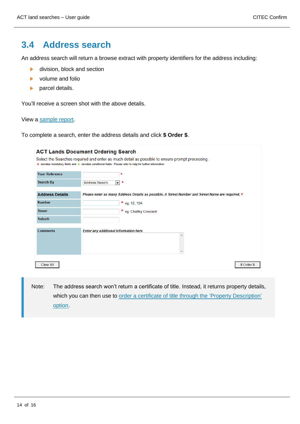### **3.4 Address search**

An address search will return a browse extract with property identifiers for the address including:

- division, block and section  $\blacktriangleright$
- volume and folio
- parcel details.  $\blacktriangleright$

You'll receive a screen shot with the above details.

#### View a [sample report.](https://www.confirm.citec.com.au/citecConfirm/act-address-search-result-sample.pdf)

To complete a search, enter the address details and click **\$ Order \$**.

|                        | <b>ACT Lands Document Ordering Search</b>                                                                                                                                                                    |
|------------------------|--------------------------------------------------------------------------------------------------------------------------------------------------------------------------------------------------------------|
|                        | Select the Searches required and enter as much detail as possible to ensure prompt processing.<br>* denotes mandatory fields and * denotes conditional fields. Please refer to help for further information. |
| <b>Your Reference</b>  | *                                                                                                                                                                                                            |
| Search By              | <b>Address Search</b><br>∗<br>$\left  \cdot \right $                                                                                                                                                         |
| <b>Address Details</b> | * Please enter as many Address Details as possible. A Street Number and Street Name are required.                                                                                                            |
| <b>Number</b>          | * eg. 12, 15A                                                                                                                                                                                                |
| <b>Street</b>          | * eg. Chaffey Crescent                                                                                                                                                                                       |
| <b>Suburb</b>          |                                                                                                                                                                                                              |
| <b>Comments</b>        | Enter any additional information here<br>۸                                                                                                                                                                   |
| Clear All              | \$ Order \$                                                                                                                                                                                                  |

Note: The address search won't return a certificate of title. Instead, it returns property details, which you can then use to [order a certificate of title through](#page-6-3) the 'Property Description' [option.](#page-6-3)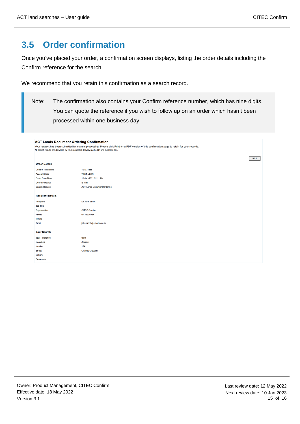# <span id="page-14-0"></span>**3.5 Order confirmation**

Once you've placed your order, a confirmation screen displays, listing the order details including the Confirm reference for the search.

We recommend that you retain this confirmation as a search record.

Note: The confirmation also contains your Confirm reference number, which has nine digits. You can quote the reference if you wish to follow up on an order which hasn't been processed within one business day.

#### <span id="page-14-1"></span>**ACT Lands Document Ordering Confirmation** Your request has been submitted for manual processing. Please click Print for a PDF version of this confirmation page to retain for your records.<br>All search results are delivered by your requested delivery method in one bu  $Print$ **Order Details** Confirm Reference 101734868 Account Code TEST-USER Order Date/Time 10-Jan-2022 02:11 PM **Delivery Method**  $E$ -mail Search Request **ACT Lands Document Ordering Recipient Details** Recipient Mr John Smith Job Title Organisation CITEC Confirm Phone 07 31234567 Mobile Email john.smith@email.com.au **Your Search** Your Reference test1 Address Searches **15A** Number **Chaffey Crescent Street** Suburb Comments